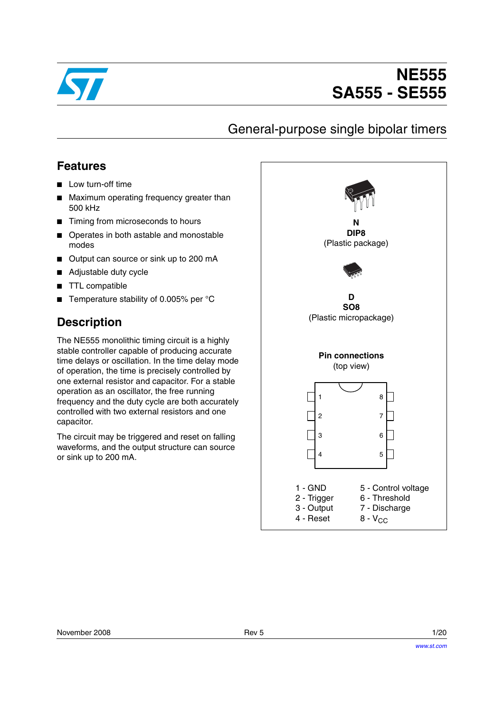

# **NE555 SA555 - SE555**

# General-purpose single bipolar timers

### **Features**

- Low turn-off time
- Maximum operating frequency greater than 500 kHz
- Timing from microseconds to hours
- Operates in both astable and monostable modes
- Output can source or sink up to 200 mA
- Adjustable duty cycle
- TTL compatible
- Temperature stability of 0.005% per °C

### **Description**

The NE555 monolithic timing circuit is a highly stable controller capable of producing accurate time delays or oscillation. In the time delay mode of operation, the time is precisely controlled by one external resistor and capacitor. For a stable operation as an oscillator, the free running frequency and the duty cycle are both accurately controlled with two external resistors and one capacitor.

The circuit may be triggered and reset on falling waveforms, and the output structure can source or sink up to 200 mA.

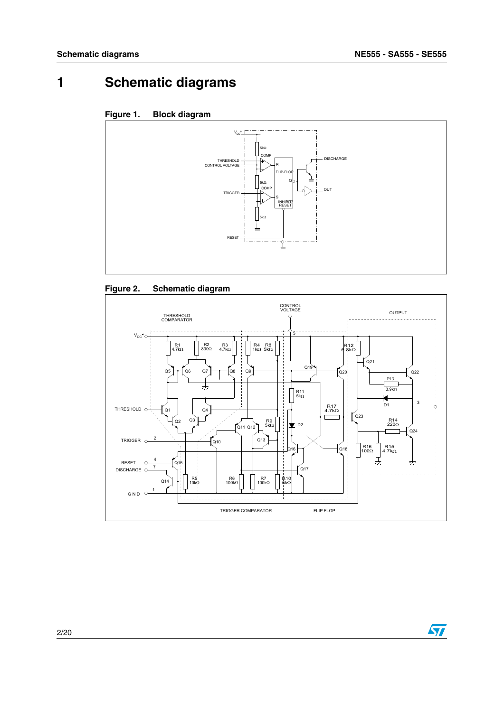# **1 Schematic diagrams**







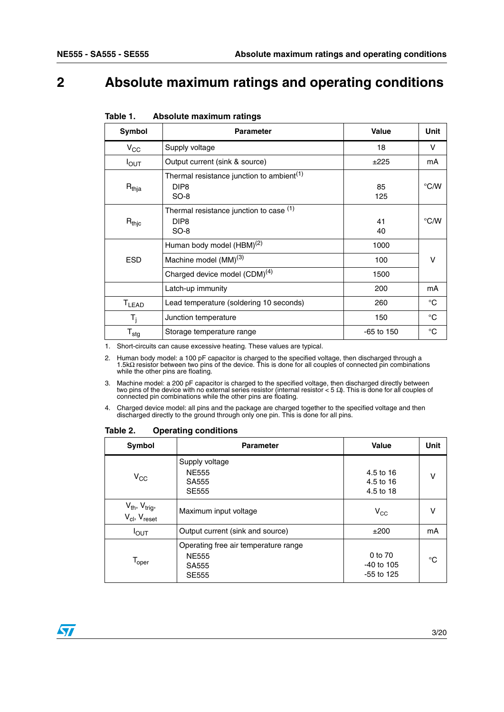# **2 Absolute maximum ratings and operating conditions**

| Symbol                      | <b>Parameter</b>                                                                    | Value        | Unit          |  |
|-----------------------------|-------------------------------------------------------------------------------------|--------------|---------------|--|
| $V_{\rm CC}$                | Supply voltage                                                                      | 18           | v             |  |
| $I_{\text{OUT}}$            | Output current (sink & source)                                                      | ±225         | mA            |  |
| $R_{thja}$                  | Thermal resistance junction to ambient <sup>(1)</sup><br>DIP <sub>8</sub><br>$SO-8$ | 85<br>125    | °C/W          |  |
| $R_{thjc}$                  | Thermal resistance junction to case (1)<br>DIP <sub>8</sub><br>$SO-8$               | 41<br>40     | $\degree$ C/W |  |
|                             | Human body model (HBM) <sup>(2)</sup>                                               | 1000         |               |  |
| <b>ESD</b>                  | Machine model (MM) <sup>(3)</sup>                                                   | 100          | v             |  |
|                             | Charged device model (CDM) <sup>(4)</sup>                                           | 1500         |               |  |
|                             | Latch-up immunity                                                                   | 200          | mA            |  |
| <b>TLEAD</b>                | Lead temperature (soldering 10 seconds)                                             |              | °C            |  |
| $T_j$                       | Junction temperature                                                                | 150          | °C            |  |
| $\mathsf{T}_{\mathsf{stg}}$ | Storage temperature range                                                           | $-65$ to 150 | °C            |  |

#### <span id="page-2-1"></span>Table 1. **Absolute maximum ratings**

1. Short-circuits can cause excessive heating. These values are typical.

2. Human body model: a 100 pF capacitor is charged to the specified voltage, then discharged through a 1.5kΩ resistor between two pins of the device. This is done for all couples of connected pin combinations while the other pins are floating.

3. Machine model: a 200 pF capacitor is charged to the specified voltage, then discharged directly between<br>two pins of the device with no external series resistor (internal resistor < 5  $\Omega$ ). This is done for all couples

4. Charged device model: all pins and the package are charged together to the specified voltage and then discharged directly to the ground through only one pin. This is done for all pins.

| Symbol                                                          | <b>Parameter</b>                                        | Value                               | <b>Unit</b> |
|-----------------------------------------------------------------|---------------------------------------------------------|-------------------------------------|-------------|
| $V_{\rm CC}$                                                    | Supply voltage<br><b>NE555</b><br>SA555<br><b>SE555</b> | 4.5 to 16<br>4.5 to 16<br>4.5 to 18 | v           |
| $V_{th}$ , $V_{trig}$ ,<br>$V_{\text{cl}}$ , $V_{\text{reset}}$ | Maximum input voltage                                   | $V_{\rm CC}$                        | v           |
| $I_{\text{OUT}}$                                                | Output current (sink and source)                        | ±200                                | mA          |
| $\mathsf{T}_{\mathsf{oper}}$                                    | 0 to 70<br>$-40$ to 105<br>$-55$ to 125                 | °C                                  |             |

<span id="page-2-0"></span>Table 2. **Operating conditions** 

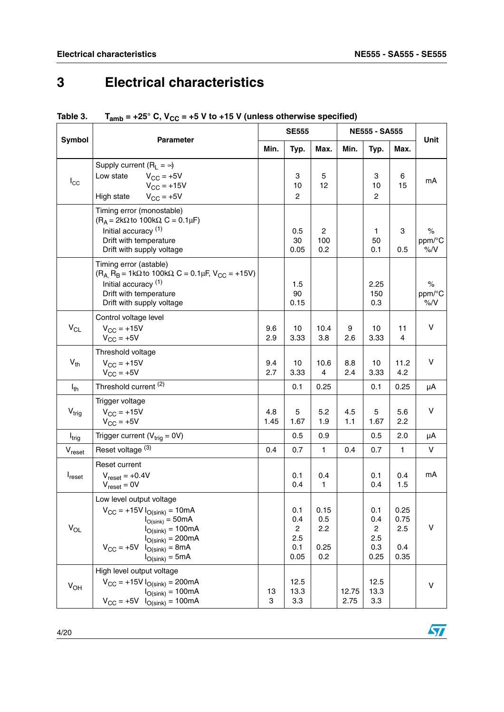# **3 Electrical characteristics**

|                               | <b>Parameter</b>                                                                                                                                                                                           |         | <b>SE555</b>                          |                                   |               | <b>NE555 - SA555</b>                                        |                                    |                           |
|-------------------------------|------------------------------------------------------------------------------------------------------------------------------------------------------------------------------------------------------------|---------|---------------------------------------|-----------------------------------|---------------|-------------------------------------------------------------|------------------------------------|---------------------------|
| Symbol                        |                                                                                                                                                                                                            |         | Typ.                                  | Max.                              | Min.          | Typ.                                                        | Max.                               | Unit                      |
| $I_{\rm CC}$                  | Supply current $(R_L = \infty)$<br>$V_{\text{CC}} = +5V$<br>Low state<br>$V_{\rm CC} = +15V$<br>High state<br>$V_{CC}$ = +5V                                                                               |         | 3<br>10<br>$\overline{c}$             | 5<br>12                           |               | 3<br>10<br>$\overline{c}$                                   | 6<br>15                            | mA                        |
|                               | Timing error (monostable)<br>$(R_A = 2k\Omega$ to 100k $\Omega$ , C = 0.1µF)<br>Initial accuracy (1)<br>Drift with temperature<br>Drift with supply voltage                                                |         | 0.5<br>30<br>0.05                     | $\mathbf{2}$<br>100<br>0.2        |               | 1<br>50<br>0.1                                              | 3<br>0.5                           | $\%$<br>ppm/°C<br>$\%$ /V |
|                               | Timing error (astable)<br>$(R_{A_1}R_B = 1k\Omega$ to 100k $\Omega$ , C = 0.1µF, V <sub>CC</sub> = +15V)<br>Initial accuracy <sup>(1)</sup><br>Drift with temperature<br>Drift with supply voltage         |         | 1.5<br>90<br>0.15                     |                                   |               | 2.25<br>150<br>0.3                                          |                                    | $\%$<br>ppm/°C<br>$\%$ /V |
| $V_{CL}$                      | Control voltage level<br>$V_{CC}$ = +15V<br>$V_{\text{CC}} = +5V$                                                                                                                                          |         | 10<br>3.33                            | 10.4<br>3.8                       | 9<br>2.6      | 10<br>3.33                                                  | 11<br>4                            | v                         |
| $V_{th}$                      | Threshold voltage<br>$V_{CC}$ = +15V<br>$V_{\text{CC}} = +5V$                                                                                                                                              |         | 10<br>3.33                            | 10.6<br>4                         | 8.8<br>2.4    | 10<br>3.33                                                  | 11.2<br>4.2                        | $\vee$                    |
| $I_{th}$                      | Threshold current (2)                                                                                                                                                                                      |         | 0.1                                   | 0.25                              |               | 0.1                                                         | 0.25                               | μA                        |
| V <sub>trig</sub>             | Trigger voltage<br>$V_{CC}$ = +15V<br>$V_{CC}$ = +5V                                                                                                                                                       |         | 5<br>1.67                             | 5.2<br>1.9                        | 4.5<br>1.1    | 5<br>1.67                                                   | 5.6<br>2.2                         | v                         |
| $I_{trig}$                    | Trigger current ( $V_{\text{triq}} = 0V$ )                                                                                                                                                                 |         | 0.5                                   | 0.9                               |               | 0.5                                                         | 2.0                                | μA                        |
| $\mathsf{V}_{\mathsf{reset}}$ | Reset voltage (3)                                                                                                                                                                                          | 0.4     | 0.7                                   | $\mathbf{1}$                      | 0.4           | 0.7                                                         | $\mathbf{1}$                       | V                         |
| $I_{reset}$                   | Reset current<br>$V_{reset} = +0.4V$<br>$V_{reset} = 0V$                                                                                                                                                   |         | 0.1<br>0.4                            | 0.4<br>1                          |               | 0.1<br>0.4                                                  | 0.4<br>1.5                         | mA                        |
| $V_{OL}$                      | Low level output voltage<br>$V_{CC}$ = +15V $I_{O(sink)}$ = 10mA<br>$I_{O(sink)} = 50mA$<br>$I_{O(sink)} = 100mA$<br>$I_{O(sink)} = 200mA$<br>$V_{CC}$ = +5V<br>$I_{O(sink)} = 8mA$<br>$I_{O(sink)} = 5mA$ |         | 0.1<br>0.4<br>2<br>2.5<br>0.1<br>0.05 | 0.15<br>0.5<br>2.2<br>0.25<br>0.2 |               | 0.1<br>0.4<br>$\overline{\mathbf{c}}$<br>2.5<br>0.3<br>0.25 | 0.25<br>0.75<br>2.5<br>0.4<br>0.35 | v                         |
| $V_{OH}$                      | High level output voltage<br>$V_{CC}$ = +15V $I_{O(sink)}$ = 200mA<br>$I_{O(sink)} = 100mA$<br>$V_{CC}$ = +5V $I_{O(sink)}$ = 100mA                                                                        | 13<br>3 | 12.5<br>13.3<br>3.3                   |                                   | 12.75<br>2.75 | 12.5<br>13.3<br>3.3                                         |                                    | V                         |

#### Table 3. T<sub>amb</sub> = +25° C, V<sub>CC</sub> = +5 V to +15 V (unless otherwise specified)

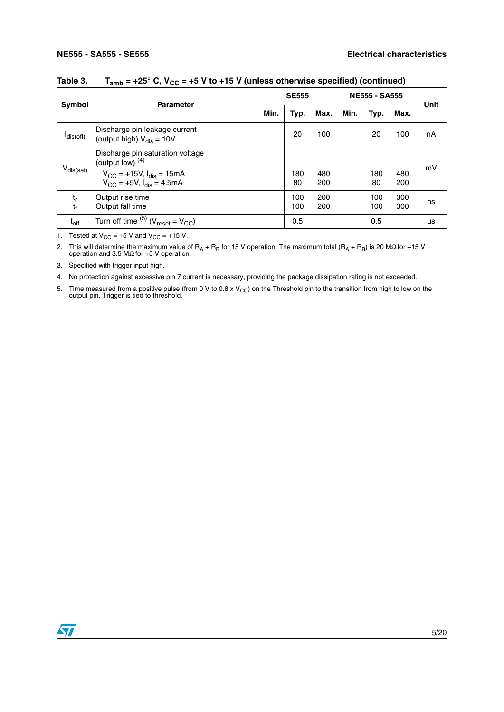|                                           | <b>Parameter</b>                                                                                                                                                    |      |                              | <b>SE555</b> |  |            | <b>NE555 - SA555</b> |    |  | Unit |
|-------------------------------------------|---------------------------------------------------------------------------------------------------------------------------------------------------------------------|------|------------------------------|--------------|--|------------|----------------------|----|--|------|
| Symbol                                    |                                                                                                                                                                     | Min. | Max.<br>Min.<br>Typ.<br>Typ. |              |  |            | Max.                 |    |  |      |
| $I_{dis(off)}$                            | Discharge pin leakage current<br>(output high) $V_{\text{dis}} = 10V$                                                                                               |      | 20                           | 100          |  | 20         | 100                  | nA |  |      |
| $\mathsf{V}_{\mathsf{dis}(\mathsf{sat})}$ | Discharge pin saturation voltage<br>(output low) $(4)$<br>$V_{\text{CC}} = +15V, I_{\text{dis}} = 15mA$<br>$V_{\text{CC}} = +5V$ , $I_{\text{dis}} = 4.5 \text{mA}$ |      | 180<br>80                    | 480<br>200   |  | 180<br>80  | 480<br>200           | mV |  |      |
| t,<br>$t_{\rm f}$                         | Output rise time<br>Output fall time                                                                                                                                |      | 100<br>100                   | 200<br>200   |  | 100<br>100 | 300<br>300           | ns |  |      |
| $t_{off}$                                 | Turn off time $^{(5)}$ (V <sub>reset</sub> = V <sub>CC</sub> )                                                                                                      |      | 0.5                          |              |  | 0.5        |                      | μs |  |      |

Table 3.  $T_{amb} = +25^{\circ}$  C, V<sub>CC</sub> =  $+5$  V to  $+15$  V (unless otherwise specified) (continued)

<span id="page-4-0"></span>1. Tested at  $V_{\text{CC}} = +5$  V and  $V_{\text{CC}} = +15$  V.

2. This will determine the maximum value of R<sub>A</sub> + R<sub>B</sub> for 15 V operation. The maximum total (R<sub>A</sub> + R<sub>B</sub>) is 20 MΩ for +15 V operation and 3.5 MΩ for +5 V operation.

3. Specified with trigger input high.

4. No protection against excessive pin 7 current is necessary, providing the package dissipation rating is not exceeded.

5. Time measured from a positive pulse (from 0 V to 0.8 x V<sub>CC</sub>) on the Threshold pin to the transition from high to low on the output pin. Trigger is tied to threshold.

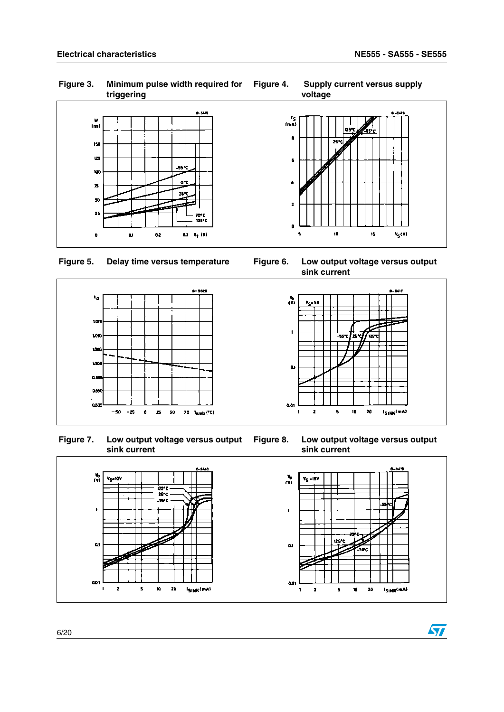**Figure 3. Minimum pulse width required for triggering**



Delay time versus temperature



 **Figure 7. Low output voltage versus output sink current**



**Figure 4. Supply current versus supply voltage**



**Figure 5. Delay time versus temperature Figure 6. Low output voltage versus output sink current**



**Figure 8. Low output voltage versus output sink current**



 $\sqrt{2}$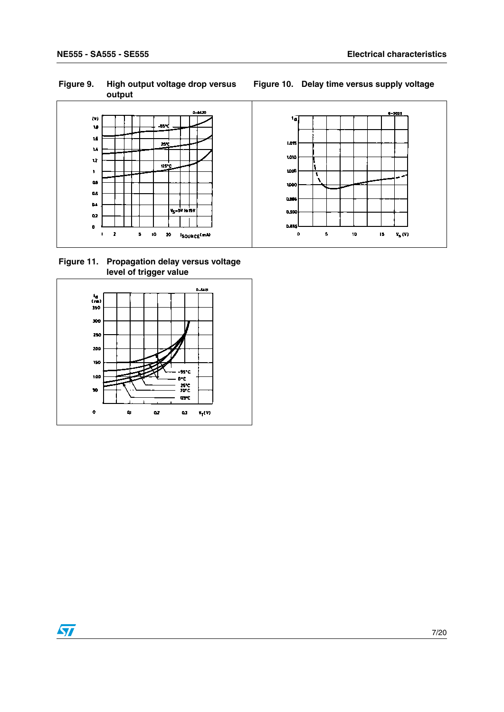**Figure 9. High output voltage drop versus output**



 **Figure 11. Propagation delay versus voltage level of trigger value**



### **Figure 10. Delay time versus supply voltage**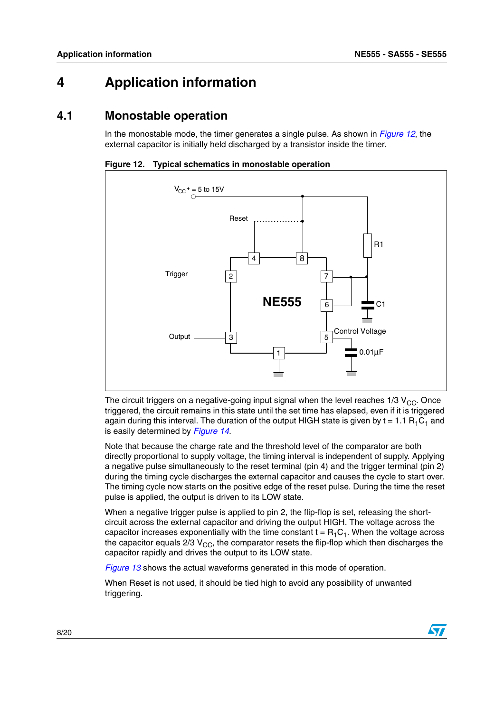# **4 Application information**

### **4.1 Monostable operation**

In the monostable mode, the timer generates a single pulse. As shown in *[Figure 12](#page-7-0)*, the external capacitor is initially held discharged by a transistor inside the timer.



<span id="page-7-0"></span>**Figure 12. Typical schematics in monostable operation**

The circuit triggers on a negative-going input signal when the level reaches  $1/3$  V<sub>CC</sub>. Once triggered, the circuit remains in this state until the set time has elapsed, even if it is triggered again during this interval. The duration of the output HIGH state is given by  $t = 1.1 R<sub>1</sub>C<sub>1</sub>$  and is easily determined by *[Figure 14](#page-8-0)*.

Note that because the charge rate and the threshold level of the comparator are both directly proportional to supply voltage, the timing interval is independent of supply. Applying a negative pulse simultaneously to the reset terminal (pin 4) and the trigger terminal (pin 2) during the timing cycle discharges the external capacitor and causes the cycle to start over. The timing cycle now starts on the positive edge of the reset pulse. During the time the reset pulse is applied, the output is driven to its LOW state.

When a negative trigger pulse is applied to pin 2, the flip-flop is set, releasing the shortcircuit across the external capacitor and driving the output HIGH. The voltage across the capacitor increases exponentially with the time constant  $t = R_1C_1$ . When the voltage across the capacitor equals  $2/3$  V<sub>CC</sub>, the comparator resets the flip-flop which then discharges the capacitor rapidly and drives the output to its LOW state.

*[Figure 13](#page-8-1)* shows the actual waveforms generated in this mode of operation.

When Reset is not used, it should be tied high to avoid any possibility of unwanted triggering.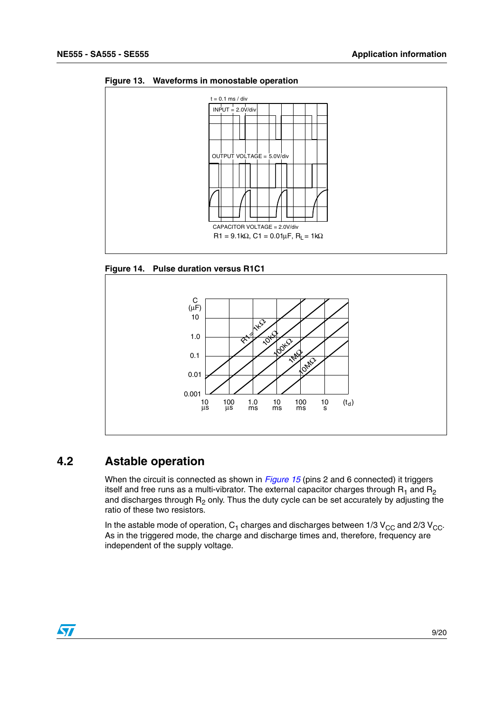<span id="page-8-1"></span>



<span id="page-8-0"></span>



#### <span id="page-8-2"></span>**4.2 Astable operation**

When the circuit is connected as shown in *[Figure 15](#page-9-0)* (pins 2 and 6 connected) it triggers itself and free runs as a multi-vibrator. The external capacitor charges through  $R_1$  and  $R_2$ and discharges through  $R<sub>2</sub>$  only. Thus the duty cycle can be set accurately by adjusting the ratio of these two resistors.

In the astable mode of operation,  $C_1$  charges and discharges between 1/3 V<sub>CC</sub> and 2/3 V<sub>CC</sub>. As in the triggered mode, the charge and discharge times and, therefore, frequency are independent of the supply voltage.

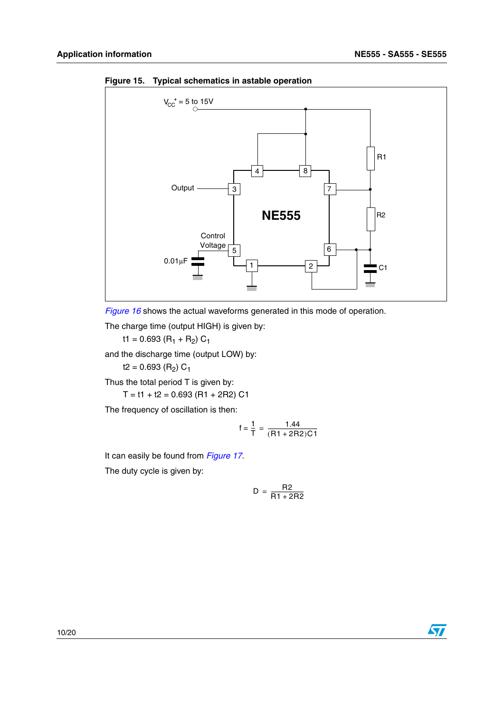

<span id="page-9-0"></span>**Figure 15. Typical schematics in astable operation**



The charge time (output HIGH) is given by:

t1 = 0.693 (R<sub>1</sub> + R<sub>2</sub>) C<sub>1</sub>

and the discharge time (output LOW) by:

t2 =  $0.693$  (R<sub>2</sub>) C<sub>1</sub>

Thus the total period T is given by:

 $T = t1 + t2 = 0.693 (R1 + 2R2) C1$ 

The frequency of oscillation is then:

$$
f = \frac{1}{T} = \frac{1.44}{(R1 + 2R2)C1}
$$

It can easily be found from *[Figure 17](#page-10-1)*.

The duty cycle is given by:

$$
D = \frac{R2}{R1 + 2R2}
$$

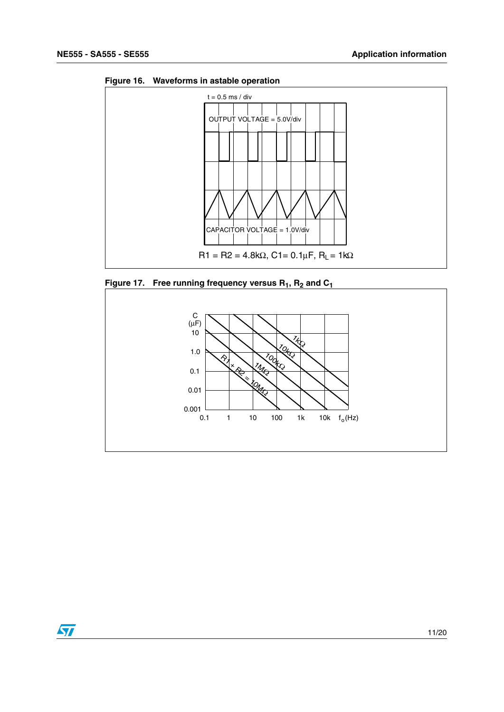<span id="page-10-0"></span>



<span id="page-10-1"></span>Figure 17. Free running frequency versus  $R_1$ ,  $R_2$  and  $C_1$ 



 $\sqrt{2}$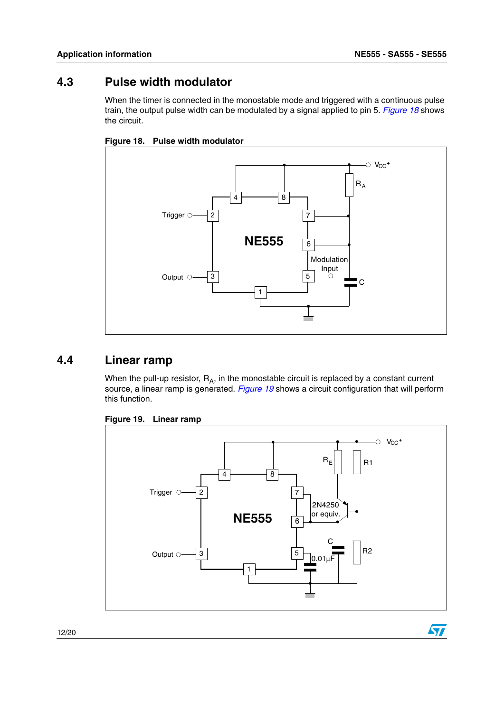$\sqrt{2}$ 

#### **4.3 Pulse width modulator**

When the timer is connected in the monostable mode and triggered with a continuous pulse train, the output pulse width can be modulated by a signal applied to pin 5. *[Figure 18](#page-11-0)* shows the circuit.

<span id="page-11-0"></span>



### **4.4 Linear ramp**

When the pull-up resistor,  $R_A$ , in the monostable circuit is replaced by a constant current source, a linear ramp is generated. *[Figure 19](#page-11-1)* shows a circuit configuration that will perform this function.

<span id="page-11-1"></span>

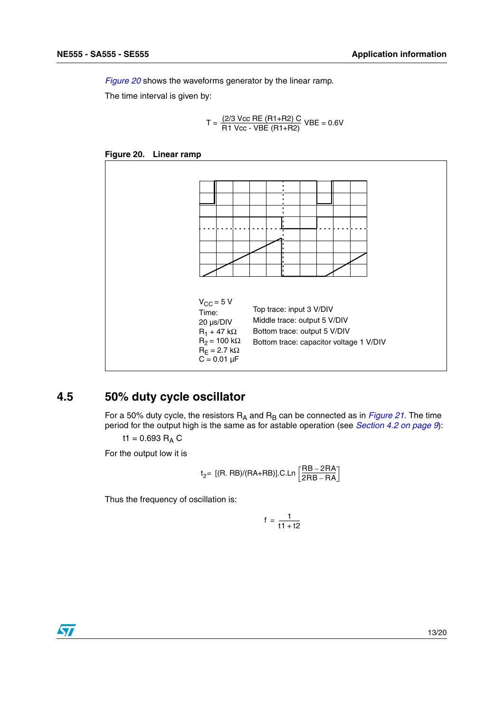*[Figure 20](#page-12-0)* shows the waveforms generator by the linear ramp.

The time interval is given by:

$$
T = \frac{(2/3 \text{ Vcc RE (R1+R2) C})}{R1 \text{ Vcc - VBE (R1+R2)}}
$$
 VBE = 0.6V

<span id="page-12-0"></span>



#### **4.5 50% duty cycle oscillator**

For a 50% duty cycle, the resistors  $R_A$  and  $R_B$  can be connected as in *[Figure 21](#page-13-0)*. The time period for the output high is the same as for astable operation (see *[Section 4.2 on page 9](#page-8-2)*):

t1 =  $0.693 R_A C$ 

For the output low it is

$$
t_2 = [(R. RB)/(RA+RB)].C.Ln \left[\frac{RB-2RA}{2RB-RA}\right]
$$

Thus the frequency of oscillation is:

$$
f = \frac{1}{t1 + t2}
$$

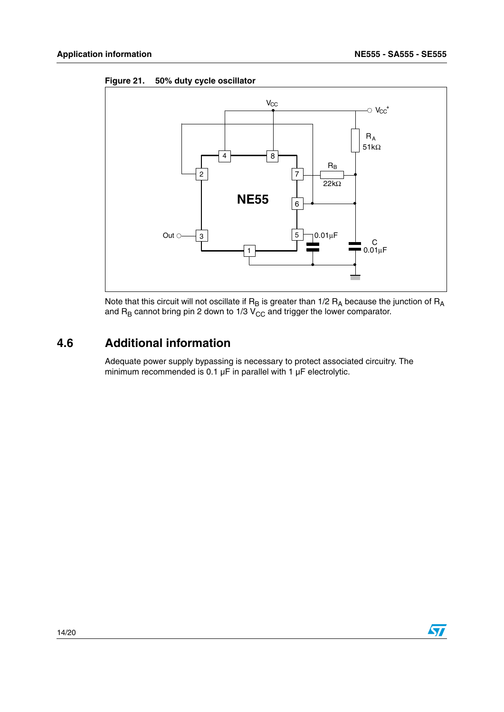<span id="page-13-0"></span>



Note that this circuit will not oscillate if  ${\sf R}_{\sf B}$  is greater than 1/2  ${\sf R}_{\sf A}$  because the junction of  ${\sf R}_{\sf A}$ and  $\mathsf{R}_\mathsf{B}$  cannot bring pin 2 down to 1/3  $\mathsf{V}_\mathsf{CC}$  and trigger the lower comparator.

### **4.6 Additional information**

Adequate power supply bypassing is necessary to protect associated circuitry. The minimum recommended is 0.1  $\mu$ F in parallel with 1  $\mu$ F electrolytic.

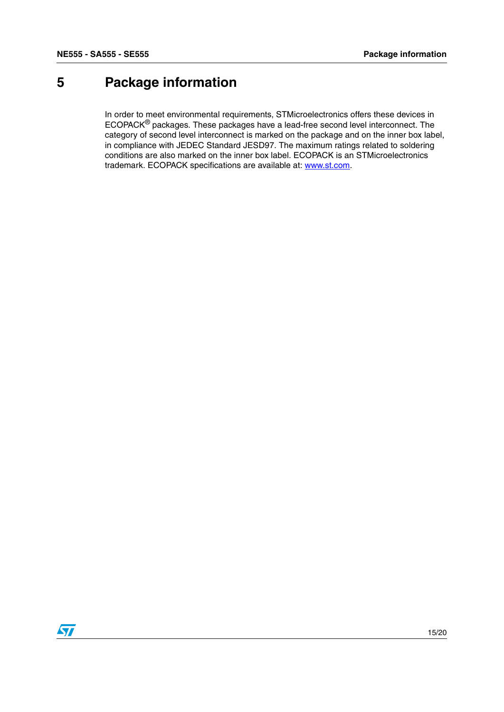## **5 Package information**

In order to meet environmental requirements, STMicroelectronics offers these devices in ECOPACK® packages. These packages have a lead-free second level interconnect. The category of second level interconnect is marked on the package and on the inner box label, in compliance with JEDEC Standard JESD97. The maximum ratings related to soldering conditions are also marked on the inner box label. ECOPACK is an STMicroelectronics trademark. ECOPACK specifications are available at: www.st.com.

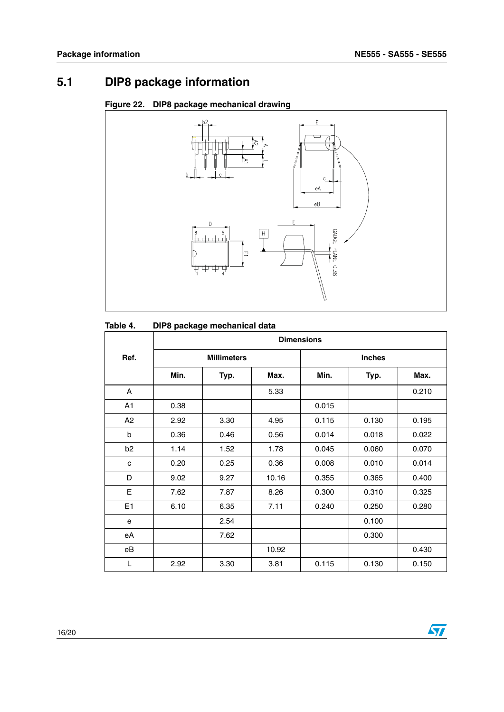## **5.1 DIP8 package information**





#### **Table 4. DIP8 package mechanical data**

| <b>Dimensions</b> |      |                    |       |               |       |       |  |
|-------------------|------|--------------------|-------|---------------|-------|-------|--|
| Ref.              |      | <b>Millimeters</b> |       | <b>Inches</b> |       |       |  |
|                   | Min. | Typ.               | Max.  | Min.          | Typ.  | Max.  |  |
| A                 |      |                    | 5.33  |               |       | 0.210 |  |
| A1                | 0.38 |                    |       | 0.015         |       |       |  |
| A2                | 2.92 | 3.30               | 4.95  | 0.115         | 0.130 | 0.195 |  |
| b                 | 0.36 | 0.46               | 0.56  | 0.014         | 0.018 | 0.022 |  |
| b <sub>2</sub>    | 1.14 | 1.52               | 1.78  | 0.045         | 0.060 | 0.070 |  |
| C                 | 0.20 | 0.25               | 0.36  | 0.008         | 0.010 | 0.014 |  |
| D                 | 9.02 | 9.27               | 10.16 | 0.355         | 0.365 | 0.400 |  |
| E                 | 7.62 | 7.87               | 8.26  | 0.300         | 0.310 | 0.325 |  |
| E <sub>1</sub>    | 6.10 | 6.35               | 7.11  | 0.240         | 0.250 | 0.280 |  |
| е                 |      | 2.54               |       |               | 0.100 |       |  |
| еA                |      | 7.62               |       |               | 0.300 |       |  |
| eB                |      |                    | 10.92 |               |       | 0.430 |  |
| L                 | 2.92 | 3.30               | 3.81  | 0.115         | 0.130 | 0.150 |  |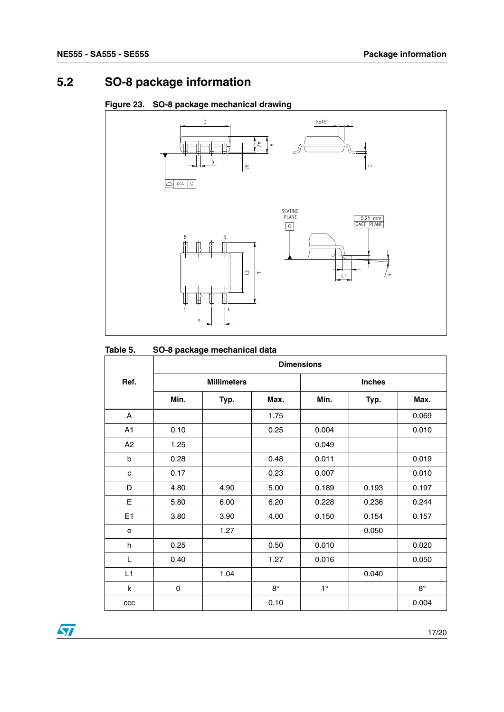## **5.2 SO-8 package information**





| Table 5. |  |  | SO-8 package mechanical data |
|----------|--|--|------------------------------|
|----------|--|--|------------------------------|

|                | <b>Dimensions</b> |                    |             |               |       |             |  |  |
|----------------|-------------------|--------------------|-------------|---------------|-------|-------------|--|--|
| Ref.           |                   | <b>Millimeters</b> |             | <b>Inches</b> |       |             |  |  |
|                | Min.              | Typ.               | Max.        | Min.          | Typ.  | Max.        |  |  |
| A              |                   |                    | 1.75        |               |       | 0.069       |  |  |
| A <sub>1</sub> | 0.10              |                    | 0.25        | 0.004         |       | 0.010       |  |  |
| A <sub>2</sub> | 1.25              |                    |             | 0.049         |       |             |  |  |
| b              | 0.28              |                    | 0.48        | 0.011         |       | 0.019       |  |  |
| C              | 0.17              |                    | 0.23        | 0.007         |       | 0.010       |  |  |
| D              | 4.80              | 4.90               | 5.00        | 0.189         | 0.193 | 0.197       |  |  |
| E              | 5.80              | 6.00               | 6.20        | 0.228         | 0.236 | 0.244       |  |  |
| E1             | 3.80              | 3.90               | 4.00        | 0.150         | 0.154 | 0.157       |  |  |
| e              |                   | 1.27               |             |               | 0.050 |             |  |  |
| h              | 0.25              |                    | 0.50        | 0.010         |       | 0.020       |  |  |
| L              | 0.40              |                    | 1.27        | 0.016         |       | 0.050       |  |  |
| L1             |                   | 1.04               |             |               | 0.040 |             |  |  |
| k              | 0                 |                    | $8^{\circ}$ | $1^{\circ}$   |       | $8^{\circ}$ |  |  |
| ccc            |                   |                    | 0.10        |               |       | 0.004       |  |  |

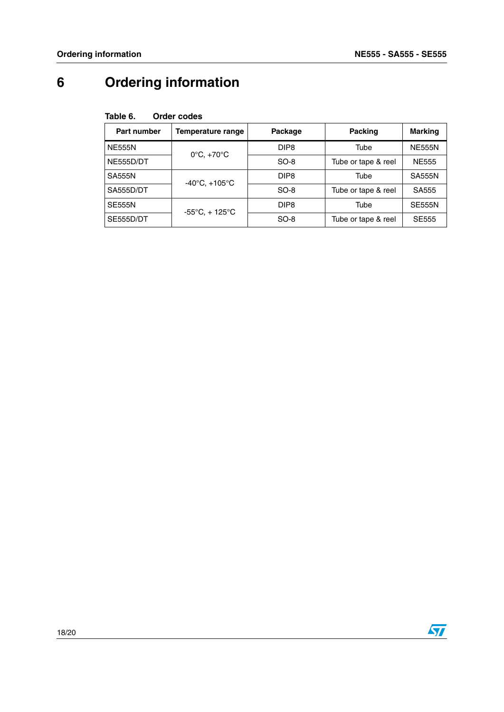# **6 Ordering information**

#### **Table 6. Order codes**

| Part number   | Temperature range                   | Package          | <b>Packing</b>      | <b>Marking</b> |
|---------------|-------------------------------------|------------------|---------------------|----------------|
| <b>NE555N</b> | $0^{\circ}$ C, $+70^{\circ}$ C      | DIP <sub>8</sub> | Tube                | <b>NE555N</b>  |
| NE555D/DT     |                                     | $SO-8$           | Tube or tape & reel | <b>NE555</b>   |
| <b>SA555N</b> | $-40^{\circ}$ C, $+105^{\circ}$ C   | DIP <sub>8</sub> | Tube                | <b>SA555N</b>  |
| SA555D/DT     |                                     | $SO-8$           | Tube or tape & reel | SA555          |
| <b>SE555N</b> | $-55^{\circ}$ C, + 125 $^{\circ}$ C | DIP <sub>8</sub> | Tube                | <b>SE555N</b>  |
| SE555D/DT     |                                     | $SO-8$           | Tube or tape & reel | <b>SE555</b>   |

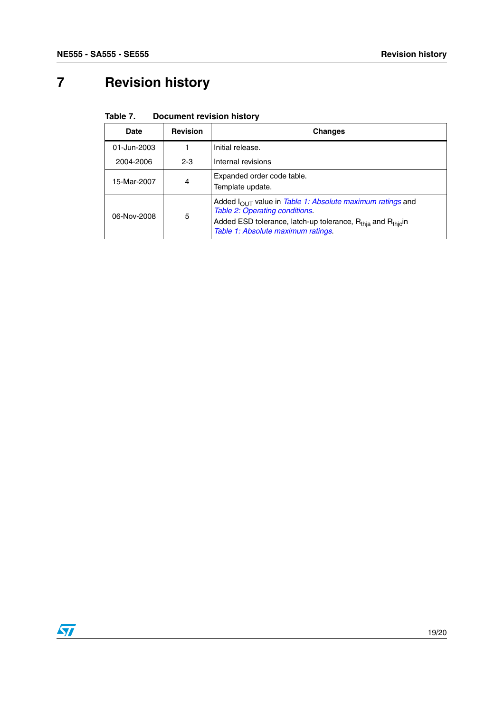# **7 Revision history**

#### Table 7. **Document revision history**

| Date        | <b>Revision</b> | <b>Changes</b>                                                                                                                                                                                                                       |
|-------------|-----------------|--------------------------------------------------------------------------------------------------------------------------------------------------------------------------------------------------------------------------------------|
| 01-Jun-2003 |                 | Initial release.                                                                                                                                                                                                                     |
| 2004-2006   | $2 - 3$         | Internal revisions                                                                                                                                                                                                                   |
| 15-Mar-2007 | 4               | Expanded order code table.<br>Template update.                                                                                                                                                                                       |
| 06-Nov-2008 | 5               | Added $I_{\text{OUT}}$ value in Table 1: Absolute maximum ratings and<br>Table 2: Operating conditions.<br>Added ESD tolerance, latch-up tolerance, R <sub>thia</sub> and R <sub>thic</sub> in<br>Table 1: Absolute maximum ratings. |